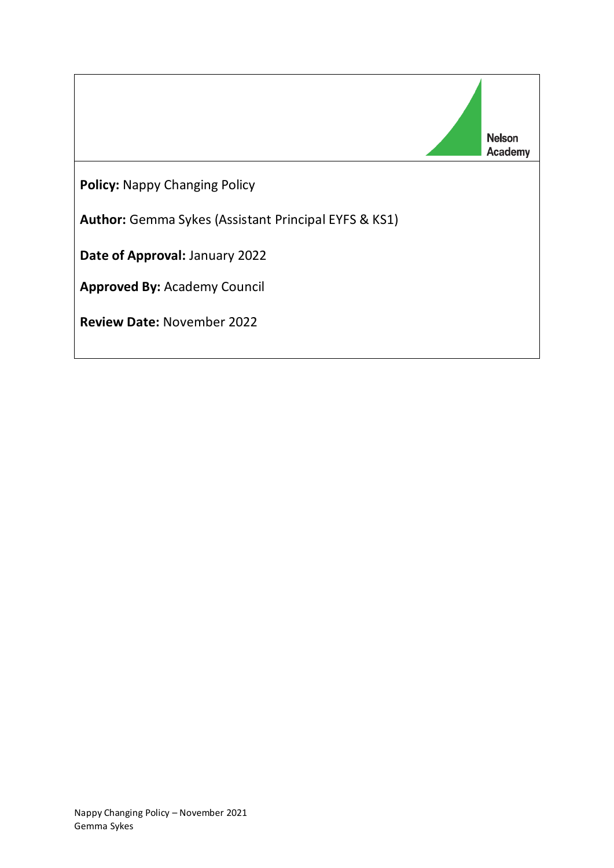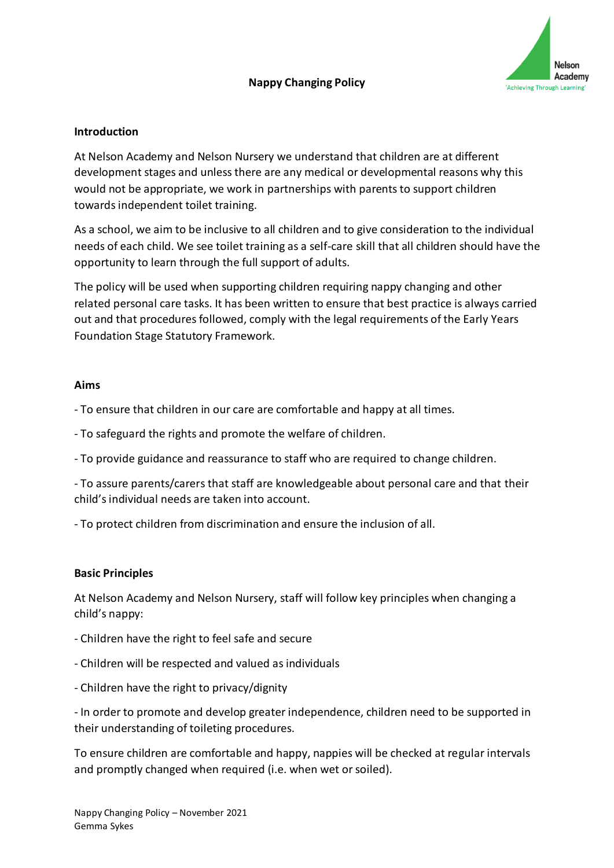

#### **Introduction**

At Nelson Academy and Nelson Nursery we understand that children are at different development stages and unless there are any medical or developmental reasons why this would not be appropriate, we work in partnerships with parents to support children towards independent toilet training.

As a school, we aim to be inclusive to all children and to give consideration to the individual needs of each child. We see toilet training as a self-care skill that all children should have the opportunity to learn through the full support of adults.

The policy will be used when supporting children requiring nappy changing and other related personal care tasks. It has been written to ensure that best practice is always carried out and that procedures followed, comply with the legal requirements of the Early Years Foundation Stage Statutory Framework.

#### **Aims**

- To ensure that children in our care are comfortable and happy at all times.

- To safeguard the rights and promote the welfare of children.

- To provide guidance and reassurance to staff who are required to change children.

- To assure parents/carers that staff are knowledgeable about personal care and that their child's individual needs are taken into account.

- To protect children from discrimination and ensure the inclusion of all.

#### **Basic Principles**

At Nelson Academy and Nelson Nursery, staff will follow key principles when changing a child's nappy:

- Children have the right to feel safe and secure
- Children will be respected and valued as individuals
- Children have the right to privacy/dignity

- In order to promote and develop greater independence, children need to be supported in their understanding of toileting procedures.

To ensure children are comfortable and happy, nappies will be checked at regular intervals and promptly changed when required (i.e. when wet or soiled).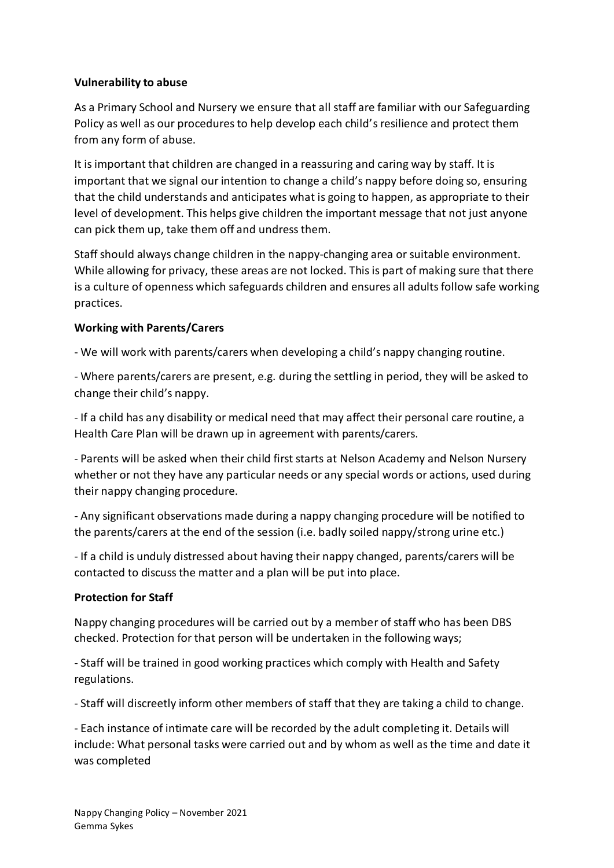## **Vulnerability to abuse**

As a Primary School and Nursery we ensure that all staff are familiar with our Safeguarding Policy as well as our procedures to help develop each child's resilience and protect them from any form of abuse.

It is important that children are changed in a reassuring and caring way by staff. It is important that we signal our intention to change a child's nappy before doing so, ensuring that the child understands and anticipates what is going to happen, as appropriate to their level of development. This helps give children the important message that not just anyone can pick them up, take them off and undress them.

Staff should always change children in the nappy-changing area or suitable environment. While allowing for privacy, these areas are not locked. This is part of making sure that there is a culture of openness which safeguards children and ensures all adults follow safe working practices.

## **Working with Parents/Carers**

- We will work with parents/carers when developing a child's nappy changing routine.

- Where parents/carers are present, e.g. during the settling in period, they will be asked to change their child's nappy.

- If a child has any disability or medical need that may affect their personal care routine, a Health Care Plan will be drawn up in agreement with parents/carers.

- Parents will be asked when their child first starts at Nelson Academy and Nelson Nursery whether or not they have any particular needs or any special words or actions, used during their nappy changing procedure.

- Any significant observations made during a nappy changing procedure will be notified to the parents/carers at the end of the session (i.e. badly soiled nappy/strong urine etc.)

- If a child is unduly distressed about having their nappy changed, parents/carers will be contacted to discuss the matter and a plan will be put into place.

## **Protection for Staff**

Nappy changing procedures will be carried out by a member of staff who has been DBS checked. Protection for that person will be undertaken in the following ways;

- Staff will be trained in good working practices which comply with Health and Safety regulations.

- Staff will discreetly inform other members of staff that they are taking a child to change.

- Each instance of intimate care will be recorded by the adult completing it. Details will include: What personal tasks were carried out and by whom as well as the time and date it was completed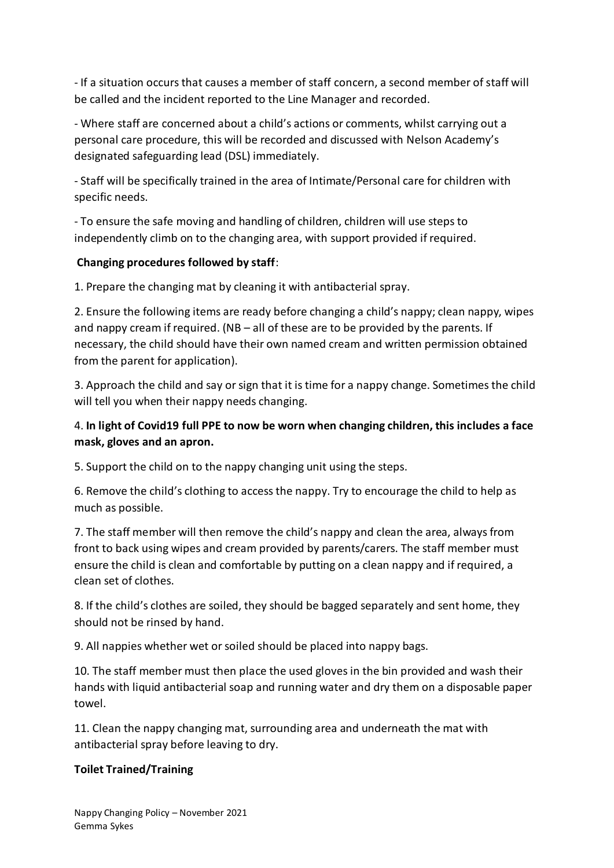- If a situation occurs that causes a member of staff concern, a second member of staff will be called and the incident reported to the Line Manager and recorded.

- Where staff are concerned about a child's actions or comments, whilst carrying out a personal care procedure, this will be recorded and discussed with Nelson Academy's designated safeguarding lead (DSL) immediately.

- Staff will be specifically trained in the area of Intimate/Personal care for children with specific needs.

- To ensure the safe moving and handling of children, children will use steps to independently climb on to the changing area, with support provided if required.

## **Changing procedures followed by staff**:

1. Prepare the changing mat by cleaning it with antibacterial spray.

2. Ensure the following items are ready before changing a child's nappy; clean nappy, wipes and nappy cream if required. (NB – all of these are to be provided by the parents. If necessary, the child should have their own named cream and written permission obtained from the parent for application).

3. Approach the child and say or sign that it is time for a nappy change. Sometimes the child will tell you when their nappy needs changing.

# 4. **In light of Covid19 full PPE to now be worn when changing children, this includes a face mask, gloves and an apron.**

5. Support the child on to the nappy changing unit using the steps.

6. Remove the child's clothing to access the nappy. Try to encourage the child to help as much as possible.

7. The staff member will then remove the child's nappy and clean the area, always from front to back using wipes and cream provided by parents/carers. The staff member must ensure the child is clean and comfortable by putting on a clean nappy and if required, a clean set of clothes.

8. If the child's clothes are soiled, they should be bagged separately and sent home, they should not be rinsed by hand.

9. All nappies whether wet or soiled should be placed into nappy bags.

10. The staff member must then place the used gloves in the bin provided and wash their hands with liquid antibacterial soap and running water and dry them on a disposable paper towel.

11. Clean the nappy changing mat, surrounding area and underneath the mat with antibacterial spray before leaving to dry.

## **Toilet Trained/Training**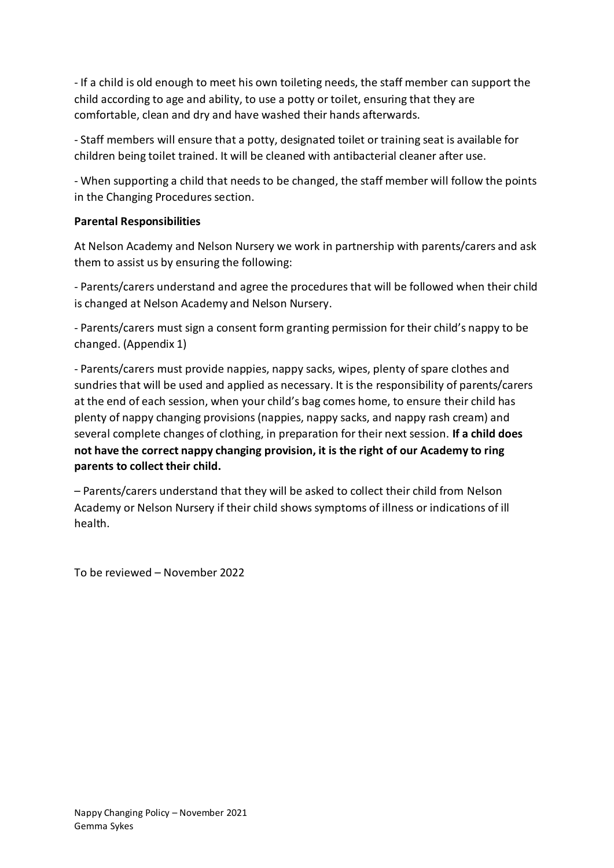- If a child is old enough to meet his own toileting needs, the staff member can support the child according to age and ability, to use a potty or toilet, ensuring that they are comfortable, clean and dry and have washed their hands afterwards.

- Staff members will ensure that a potty, designated toilet or training seat is available for children being toilet trained. It will be cleaned with antibacterial cleaner after use.

- When supporting a child that needs to be changed, the staff member will follow the points in the Changing Procedures section.

## **Parental Responsibilities**

At Nelson Academy and Nelson Nursery we work in partnership with parents/carers and ask them to assist us by ensuring the following:

- Parents/carers understand and agree the procedures that will be followed when their child is changed at Nelson Academy and Nelson Nursery.

- Parents/carers must sign a consent form granting permission for their child's nappy to be changed. (Appendix 1)

- Parents/carers must provide nappies, nappy sacks, wipes, plenty of spare clothes and sundries that will be used and applied as necessary. It is the responsibility of parents/carers at the end of each session, when your child's bag comes home, to ensure their child has plenty of nappy changing provisions (nappies, nappy sacks, and nappy rash cream) and several complete changes of clothing, in preparation for their next session. **If a child does not have the correct nappy changing provision, it is the right of our Academy to ring parents to collect their child.**

– Parents/carers understand that they will be asked to collect their child from Nelson Academy or Nelson Nursery if their child shows symptoms of illness or indications of ill health.

To be reviewed – November 2022